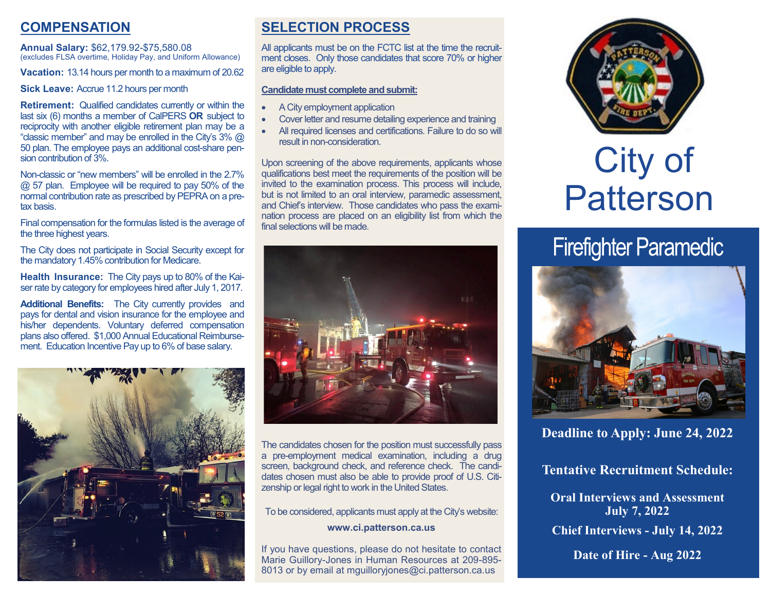# **COMPENSATION**

**Annual Salary:** \$62,179.92-\$75,580.08 (excludes FLSA overtime, Holiday Pay, and Uniform Allowance)

**Vacation:** 13.14 hours per month to a maximum of 20.62

**Sick Leave:** Accrue 11.2 hours per month

**Retirement:** Qualified candidates currently or within the last six (6) months a member of CalPERS **OR** subject to reciprocity with another eligible retirement plan may be a "classic member" and may be enrolled in the City's 3% @ 50 plan. The employee pays an additional cost-share pension contribution of 3%.

Non-classic or "new members" will be enrolled in the 2.7% @ 57 plan. Employee will be required to pay 50% of the normal contribution rate as prescribed by PEPRA on a pretax basis.

Final compensation for the formulas listed is the average of the three highest years.

The City does not participate in Social Security except for the mandatory 1.45% contribution for Medicare.

**Health Insurance:** The City pays up to 80% of the Kaiser rate by category for employees hired after July 1, 2017.

**Additional Benefits:** The City currently provides and pays for dental and vision insurance for the employee and his/her dependents. Voluntary deferred compensation plans also offered. \$1,000 Annual Educational Reimbursement. Education Incentive Pay up to 6% of base salary.



# **SELECTION PROCESS**

All applicants must be on the FCTC list at the time the recruitment closes. Only those candidates that score 70% or higher are eligible to apply.

#### **Candidate must complete and submit:**

- A City employment application
- Cover letter and resume detailing experience and training
- All required licenses and certifications. Failure to do so will result in non-consideration.

Upon screening of the above requirements, applicants whose qualifications best meet the requirements of the position will be invited to the examination process. This process will include, but is not limited to an oral interview, paramedic assessment, and Chief's interview. Those candidates who pass the examination process are placed on an eligibility list from which the final selections will be made.



The candidates chosen for the position must successfully pass a pre-employment medical examination, including a drug screen, background check, and reference check. The candidates chosen must also be able to provide proof of U.S. Citizenship or legal right to work in the United States.

To be considered, applicants must apply at the City's website: **www.ci.patterson.ca.us**

If you have questions, please do not hesitate to contact Marie Guillory-Jones in Human Resources at 209-895- 8013 or by email at mguilloryjones@ci.patterson.ca.us



# City of Patterson

# **Firefighter Paramedic**



**Deadline to Apply: June 24, 2022** 

**Tentative Recruitment Schedule:**

**Oral Interviews and Assessment July 7, 2022 Chief Interviews - July 14, 2022**

**Date of Hire - Aug 2022**